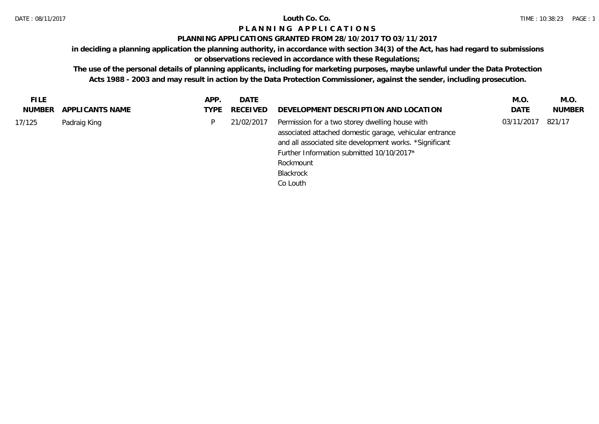## **PLANNING APPLICATIONS GRANTED FROM 28/10/2017 TO 03/11/2017**

**in deciding a planning application the planning authority, in accordance with section 34(3) of the Act, has had regard to submissions** 

# **or observations recieved in accordance with these Regulations;**

| <b>FILE</b> |                  | APP. | DATE          |                                                                                                                                                                                                                                                          | M.O.       | M.O.          |
|-------------|------------------|------|---------------|----------------------------------------------------------------------------------------------------------------------------------------------------------------------------------------------------------------------------------------------------------|------------|---------------|
| NUMBER      | APPLI CANTS NAME |      | TYPE RECEIVED | DEVELOPMENT DESCRIPTION AND LOCATION                                                                                                                                                                                                                     | DATE       | <b>NUMBER</b> |
| 17/125      | Padraig King     | D.   | 21/02/2017    | Permission for a two storey dwelling house with<br>associated attached domestic garage, vehicular entrance<br>and all associated site development works. *Significant<br>Further Information submitted 10/10/2017*<br>Rockmount<br>Blackrock<br>Co Louth | 03/11/2017 | 821/17        |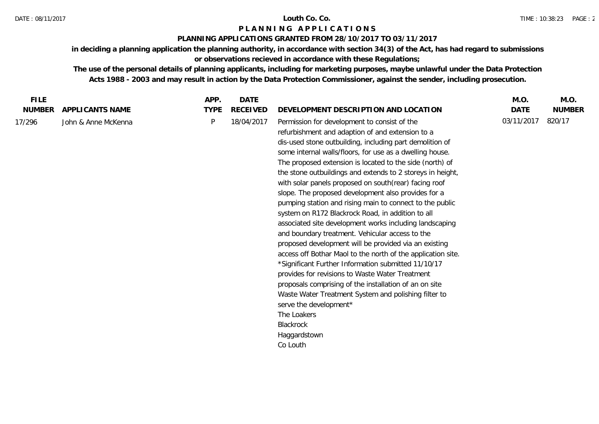## **PLANNING APPLICATIONS GRANTED FROM 28/10/2017 TO 03/11/2017**

**in deciding a planning application the planning authority, in accordance with section 34(3) of the Act, has had regard to submissions or observations recieved in accordance with these Regulations;**

| <b>FILE</b>   |                     | APP.        | <b>DATE</b>     |                                                                                                                                                                                                                                                                                                                                                                                                                                                                                                                                                                                                                                                                                                                                                                                                                                                                                                                                                                                                                                                                                                                                          | M.O.        | M.O.          |
|---------------|---------------------|-------------|-----------------|------------------------------------------------------------------------------------------------------------------------------------------------------------------------------------------------------------------------------------------------------------------------------------------------------------------------------------------------------------------------------------------------------------------------------------------------------------------------------------------------------------------------------------------------------------------------------------------------------------------------------------------------------------------------------------------------------------------------------------------------------------------------------------------------------------------------------------------------------------------------------------------------------------------------------------------------------------------------------------------------------------------------------------------------------------------------------------------------------------------------------------------|-------------|---------------|
| <b>NUMBER</b> | APPLICANTS NAME     | <b>TYPE</b> | <b>RECEIVED</b> | DEVELOPMENT DESCRIPTION AND LOCATION                                                                                                                                                                                                                                                                                                                                                                                                                                                                                                                                                                                                                                                                                                                                                                                                                                                                                                                                                                                                                                                                                                     | <b>DATE</b> | <b>NUMBER</b> |
| 17/296        | John & Anne McKenna | P           | 18/04/2017      | Permission for development to consist of the<br>refurbishment and adaption of and extension to a<br>dis-used stone outbuilding, including part demolition of<br>some internal walls/floors, for use as a dwelling house.<br>The proposed extension is located to the side (north) of<br>the stone outbuildings and extends to 2 storeys in height,<br>with solar panels proposed on south(rear) facing roof<br>slope. The proposed development also provides for a<br>pumping station and rising main to connect to the public<br>system on R172 Blackrock Road, in addition to all<br>associated site development works including landscaping<br>and boundary treatment. Vehicular access to the<br>proposed development will be provided via an existing<br>access off Bothar Maol to the north of the application site.<br>*Significant Further Information submitted 11/10/17<br>provides for revisions to Waste Water Treatment<br>proposals comprising of the installation of an on site<br>Waste Water Treatment System and polishing filter to<br>serve the development*<br>The Loakers<br>Blackrock<br>Haggardstown<br>Co Louth | 03/11/2017  | 820/17        |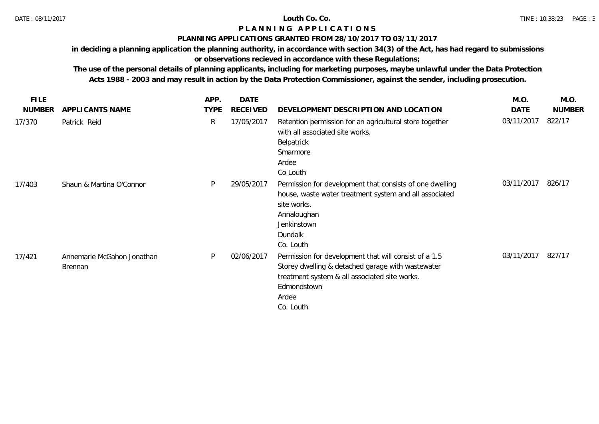### **PLANNING APPLICATIONS GRANTED FROM 28/10/2017 TO 03/11/2017**

**in deciding a planning application the planning authority, in accordance with section 34(3) of the Act, has had regard to submissions** 

# **or observations recieved in accordance with these Regulations;**

| <b>FILE</b>   |                                       | APP.        | <b>DATE</b>     |                                                                                                                                                                                                  | M.O.       | M.O.          |
|---------------|---------------------------------------|-------------|-----------------|--------------------------------------------------------------------------------------------------------------------------------------------------------------------------------------------------|------------|---------------|
| <b>NUMBER</b> | APPLICANTS NAME                       | <b>TYPE</b> | <b>RECEIVED</b> | DEVELOPMENT DESCRIPTION AND LOCATION                                                                                                                                                             | DATE       | <b>NUMBER</b> |
| 17/370        | Patrick Reid                          | R           | 17/05/2017      | Retention permission for an agricultural store together<br>with all associated site works.<br>Belpatrick<br>Smarmore<br>Ardee<br>Co Louth                                                        | 03/11/2017 | 822/17        |
| 17/403        | Shaun & Martina O'Connor              | P           | 29/05/2017      | Permission for development that consists of one dwelling<br>house, waste water treatment system and all associated<br>site works.<br>Annaloughan<br>Jenkinstown<br>Dundalk<br>Co. Louth          | 03/11/2017 | 826/17        |
| 17/421        | Annemarie McGahon Jonathan<br>Brennan | P           | 02/06/2017      | Permission for development that will consist of a 1.5<br>Storey dwelling & detached garage with wastewater<br>treatment system & all associated site works.<br>Edmondstown<br>Ardee<br>Co. Louth | 03/11/2017 | 827/17        |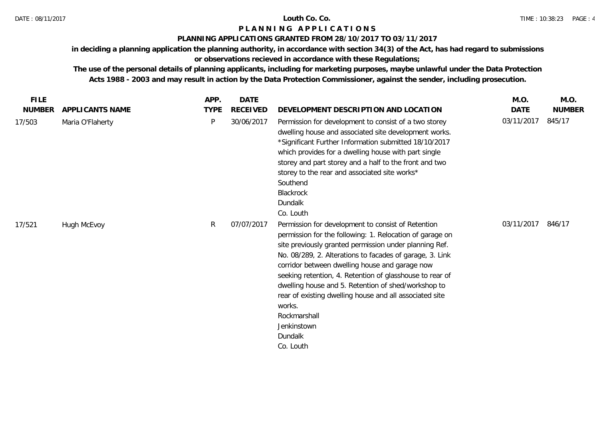## **PLANNING APPLICATIONS GRANTED FROM 28/10/2017 TO 03/11/2017**

**in deciding a planning application the planning authority, in accordance with section 34(3) of the Act, has had regard to submissions** 

# **or observations recieved in accordance with these Regulations;**

| <b>FILE</b>   |                  | APP.           | <b>DATE</b> |                                                                                                                                                                                                                                                                                                                                                                                                                                                                                                                                       | M.O.        | M.O.          |
|---------------|------------------|----------------|-------------|---------------------------------------------------------------------------------------------------------------------------------------------------------------------------------------------------------------------------------------------------------------------------------------------------------------------------------------------------------------------------------------------------------------------------------------------------------------------------------------------------------------------------------------|-------------|---------------|
| <b>NUMBER</b> | APPLICANTS NAME  | <b>TYPE</b>    | RECEIVED    | DEVELOPMENT DESCRIPTION AND LOCATION                                                                                                                                                                                                                                                                                                                                                                                                                                                                                                  | <b>DATE</b> | <b>NUMBER</b> |
| 17/503        | Maria O'Flaherty | P              | 30/06/2017  | Permission for development to consist of a two storey<br>dwelling house and associated site development works.<br>*Significant Further Information submitted 18/10/2017<br>which provides for a dwelling house with part single<br>storey and part storey and a half to the front and two<br>storey to the rear and associated site works*<br>Southend<br>Blackrock<br>Dundalk<br>Co. Louth                                                                                                                                           | 03/11/2017  | 845/17        |
| 17/521        | Hugh McEvoy      | $\mathsf{R}^-$ | 07/07/2017  | Permission for development to consist of Retention<br>permission for the following: 1. Relocation of garage on<br>site previously granted permission under planning Ref.<br>No. 08/289, 2. Alterations to facades of garage, 3. Link<br>corridor between dwelling house and garage now<br>seeking retention, 4. Retention of glasshouse to rear of<br>dwelling house and 5. Retention of shed/workshop to<br>rear of existing dwelling house and all associated site<br>works.<br>Rockmarshall<br>Jenkinstown<br>Dundalk<br>Co. Louth | 03/11/2017  | 846/17        |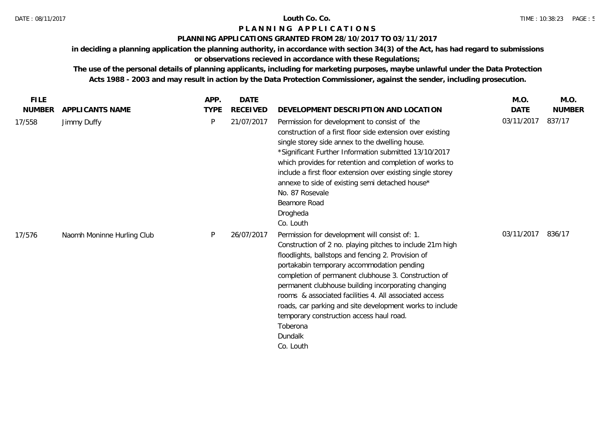## **PLANNING APPLICATIONS GRANTED FROM 28/10/2017 TO 03/11/2017**

**in deciding a planning application the planning authority, in accordance with section 34(3) of the Act, has had regard to submissions** 

# **or observations recieved in accordance with these Regulations;**

| <b>FILE</b>   |                            | APP.        | <b>DATE</b>     |                                                                                                                                                                                                                                                                                                                                                                                                                                                                                                                                      | M.O.       | M.O.          |
|---------------|----------------------------|-------------|-----------------|--------------------------------------------------------------------------------------------------------------------------------------------------------------------------------------------------------------------------------------------------------------------------------------------------------------------------------------------------------------------------------------------------------------------------------------------------------------------------------------------------------------------------------------|------------|---------------|
| <b>NUMBER</b> | APPLICANTS NAME            | <b>TYPE</b> | <b>RECEIVED</b> | DEVELOPMENT DESCRIPTION AND LOCATION                                                                                                                                                                                                                                                                                                                                                                                                                                                                                                 | DATE       | <b>NUMBER</b> |
| 17/558        | Jimmy Duffy                | P           | 21/07/2017      | Permission for development to consist of the<br>construction of a first floor side extension over existing<br>single storey side annex to the dwelling house.<br>*Significant Further Information submitted 13/10/2017<br>which provides for retention and completion of works to<br>include a first floor extension over existing single storey<br>annexe to side of existing semi detached house*<br>No. 87 Rosevale<br>Beamore Road<br>Drogheda<br>Co. Louth                                                                      | 03/11/2017 | 837/17        |
| 17/576        | Naomh Moninne Hurling Club | P           | 26/07/2017      | Permission for development will consist of: 1.<br>Construction of 2 no. playing pitches to include 21m high<br>floodlights, ballstops and fencing 2. Provision of<br>portakabin temporary accommodation pending<br>completion of permanent clubhouse 3. Construction of<br>permanent clubhouse building incorporating changing<br>rooms & associated facilities 4. All associated access<br>roads, car parking and site development works to include<br>temporary construction access haul road.<br>Toberona<br>Dundalk<br>Co. Louth | 03/11/2017 | 836/17        |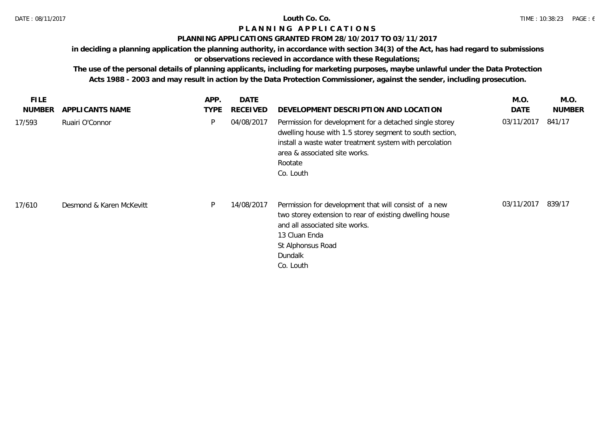## **PLANNING APPLICATIONS GRANTED FROM 28/10/2017 TO 03/11/2017**

**in deciding a planning application the planning authority, in accordance with section 34(3) of the Act, has had regard to submissions** 

# **or observations recieved in accordance with these Regulations;**

| <b>FILE</b><br><b>NUMBER</b> | APPLICANTS NAME          | APP.<br><b>TYPE</b> | <b>DATE</b><br><b>RECEIVED</b> | DEVELOPMENT DESCRIPTION AND LOCATION                                                                                                                                                                                                    | M.O.<br>DATE | M.O.<br><b>NUMBER</b> |
|------------------------------|--------------------------|---------------------|--------------------------------|-----------------------------------------------------------------------------------------------------------------------------------------------------------------------------------------------------------------------------------------|--------------|-----------------------|
| 17/593                       | Ruairi O'Connor          | P                   | 04/08/2017                     | Permission for development for a detached single storey<br>dwelling house with 1.5 storey segment to south section,<br>install a waste water treatment system with percolation<br>area & associated site works.<br>Rootate<br>Co. Louth | 03/11/2017   | 841/17                |
| 17/610                       | Desmond & Karen McKevitt | P                   | 14/08/2017                     | Permission for development that will consist of a new<br>two storey extension to rear of existing dwelling house<br>and all associated site works.<br>13 Cluan Enda<br>St Alphonsus Road<br>Dundalk<br>Co. Louth                        | 03/11/2017   | 839/17                |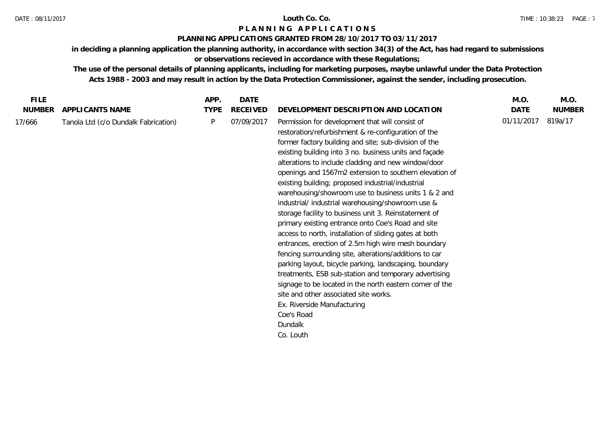## **PLANNING APPLICATIONS GRANTED FROM 28/10/2017 TO 03/11/2017**

**in deciding a planning application the planning authority, in accordance with section 34(3) of the Act, has had regard to submissions or observations recieved in accordance with these Regulations;**

| <b>FILE</b>   |                                      | APP.        | <b>DATE</b>     |                                                                                                                                                                                                                                                                                                                                                                                                                                                                                                                                                                                                                                                                                                                                                                                                                                                                                                                                                                                                                                                                                                     | M.O.       | M.O.          |
|---------------|--------------------------------------|-------------|-----------------|-----------------------------------------------------------------------------------------------------------------------------------------------------------------------------------------------------------------------------------------------------------------------------------------------------------------------------------------------------------------------------------------------------------------------------------------------------------------------------------------------------------------------------------------------------------------------------------------------------------------------------------------------------------------------------------------------------------------------------------------------------------------------------------------------------------------------------------------------------------------------------------------------------------------------------------------------------------------------------------------------------------------------------------------------------------------------------------------------------|------------|---------------|
| <b>NUMBER</b> | APPLICANTS NAME                      | <b>TYPE</b> | <b>RECEIVED</b> | DEVELOPMENT DESCRIPTION AND LOCATION                                                                                                                                                                                                                                                                                                                                                                                                                                                                                                                                                                                                                                                                                                                                                                                                                                                                                                                                                                                                                                                                | DATE       | <b>NUMBER</b> |
| 17/666        | Tanola Ltd (c/o Dundalk Fabrication) | P           | 07/09/2017      | Permission for development that will consist of<br>restoration/refurbishment & re-configuration of the<br>former factory building and site; sub-division of the<br>existing building into 3 no. business units and façade<br>alterations to include cladding and new window/door<br>openings and 1567m2 extension to southern elevation of<br>existing building; proposed industrial/industrial<br>warehousing/showroom use to business units 1 & 2 and<br>industrial/ industrial warehousing/showroom use &<br>storage facility to business unit 3. Reinstatement of<br>primary existing entrance onto Coe's Road and site<br>access to north, installation of sliding gates at both<br>entrances, erection of 2.5m high wire mesh boundary<br>fencing surrounding site, alterations/additions to car<br>parking layout, bicycle parking, landscaping, boundary<br>treatments, ESB sub-station and temporary advertising<br>signage to be located in the north eastern corner of the<br>site and other associated site works.<br>Ex. Riverside Manufacturing<br>Coe's Road<br>Dundalk<br>Co. Louth | 01/11/2017 | 819a/17       |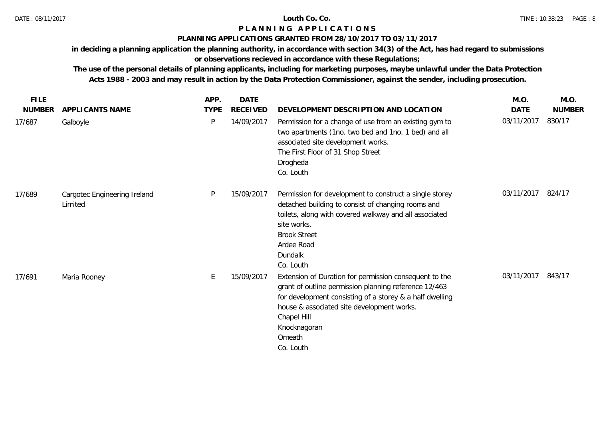## **PLANNING APPLICATIONS GRANTED FROM 28/10/2017 TO 03/11/2017**

**in deciding a planning application the planning authority, in accordance with section 34(3) of the Act, has had regard to submissions** 

# **or observations recieved in accordance with these Regulations;**

| <b>FILE</b>   |                                         | APP.        | <b>DATE</b>     |                                                                                                                                                                                                                                                                                 | M.O.       | M.O.          |
|---------------|-----------------------------------------|-------------|-----------------|---------------------------------------------------------------------------------------------------------------------------------------------------------------------------------------------------------------------------------------------------------------------------------|------------|---------------|
| <b>NUMBER</b> | APPLICANTS NAME                         | <b>TYPE</b> | <b>RECEIVED</b> | DEVELOPMENT DESCRIPTION AND LOCATION                                                                                                                                                                                                                                            | DATE       | <b>NUMBER</b> |
| 17/687        | Galboyle                                | P           | 14/09/2017      | Permission for a change of use from an existing gym to<br>two apartments (1no. two bed and 1no. 1 bed) and all<br>associated site development works.<br>The First Floor of 31 Shop Street<br>Drogheda<br>Co. Louth                                                              | 03/11/2017 | 830/17        |
| 17/689        | Cargotec Engineering Ireland<br>Limited | P           | 15/09/2017      | Permission for development to construct a single storey<br>detached building to consist of changing rooms and<br>toilets, along with covered walkway and all associated<br>site works.<br><b>Brook Street</b><br>Ardee Road<br>Dundalk<br>Co. Louth                             | 03/11/2017 | 824/17        |
| 17/691        | Maria Rooney                            | E           | 15/09/2017      | Extension of Duration for permission consequent to the<br>grant of outline permission planning reference 12/463<br>for development consisting of a storey & a half dwelling<br>house & associated site development works.<br>Chapel Hill<br>Knocknagoran<br>Omeath<br>Co. Louth | 03/11/2017 | 843/17        |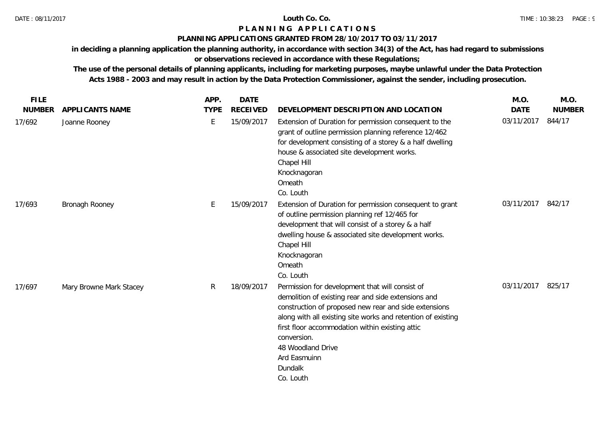## **PLANNING APPLICATIONS GRANTED FROM 28/10/2017 TO 03/11/2017**

**in deciding a planning application the planning authority, in accordance with section 34(3) of the Act, has had regard to submissions** 

# **or observations recieved in accordance with these Regulations;**

| <b>FILE</b>   |                         | APP.        | <b>DATE</b>     |                                                                                                                                                                                                                                                                                                                                                                | M.O.        | M.O.          |
|---------------|-------------------------|-------------|-----------------|----------------------------------------------------------------------------------------------------------------------------------------------------------------------------------------------------------------------------------------------------------------------------------------------------------------------------------------------------------------|-------------|---------------|
| <b>NUMBER</b> | APPLICANTS NAME         | <b>TYPE</b> | <b>RECEIVED</b> | DEVELOPMENT DESCRIPTION AND LOCATION                                                                                                                                                                                                                                                                                                                           | <b>DATE</b> | <b>NUMBER</b> |
| 17/692        | Joanne Rooney           | E           | 15/09/2017      | Extension of Duration for permission consequent to the<br>grant of outline permission planning reference 12/462<br>for development consisting of a storey & a half dwelling<br>house & associated site development works.<br>Chapel Hill<br>Knocknagoran<br>Omeath<br>Co. Louth                                                                                | 03/11/2017  | 844/17        |
| 17/693        | Bronagh Rooney          |             | 15/09/2017      | Extension of Duration for permission consequent to grant<br>of outline permission planning ref 12/465 for<br>development that will consist of a storey & a half<br>dwelling house & associated site development works.<br>Chapel Hill<br>Knocknagoran<br>Omeath<br>Co. Louth                                                                                   | 03/11/2017  | 842/17        |
| 17/697        | Mary Browne Mark Stacey | R.          | 18/09/2017      | Permission for development that will consist of<br>demolition of existing rear and side extensions and<br>construction of proposed new rear and side extensions<br>along with all existing site works and retention of existing<br>first floor accommodation within existing attic<br>conversion.<br>48 Woodland Drive<br>Ard Easmuinn<br>Dundalk<br>Co. Louth | 03/11/2017  | 825/17        |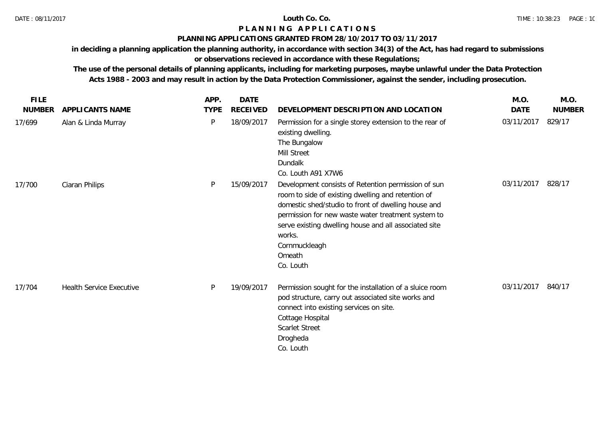### **PLANNING APPLICATIONS GRANTED FROM 28/10/2017 TO 03/11/2017**

**in deciding a planning application the planning authority, in accordance with section 34(3) of the Act, has had regard to submissions** 

# **or observations recieved in accordance with these Regulations;**

|                                 | APP.        | DATE            |                                                                                                                                                                                                                                                                                                                                   | M.O.        | M.O.          |
|---------------------------------|-------------|-----------------|-----------------------------------------------------------------------------------------------------------------------------------------------------------------------------------------------------------------------------------------------------------------------------------------------------------------------------------|-------------|---------------|
| APPLICANTS NAME                 | <b>TYPE</b> | <b>RECEIVED</b> | DEVELOPMENT DESCRIPTION AND LOCATION                                                                                                                                                                                                                                                                                              | <b>DATE</b> | <b>NUMBER</b> |
| Alan & Linda Murray             | P           | 18/09/2017      | Permission for a single storey extension to the rear of<br>existing dwelling.<br>The Bungalow<br>Mill Street<br>Dundalk<br>Co. Louth A91 X7W6                                                                                                                                                                                     | 03/11/2017  | 829/17        |
| Ciaran Philips                  | P           | 15/09/2017      | Development consists of Retention permission of sun<br>room to side of existing dwelling and retention of<br>domestic shed/studio to front of dwelling house and<br>permission for new waste water treatment system to<br>serve existing dwelling house and all associated site<br>works.<br>Cornmuckleagh<br>Omeath<br>Co. Louth | 03/11/2017  | 828/17        |
| <b>Health Service Executive</b> | P           | 19/09/2017      | Permission sought for the installation of a sluice room<br>pod structure, carry out associated site works and<br>connect into existing services on site.<br>Cottage Hospital<br><b>Scarlet Street</b><br>Drogheda<br>Co. Louth                                                                                                    | 03/11/2017  | 840/17        |
|                                 |             |                 |                                                                                                                                                                                                                                                                                                                                   |             |               |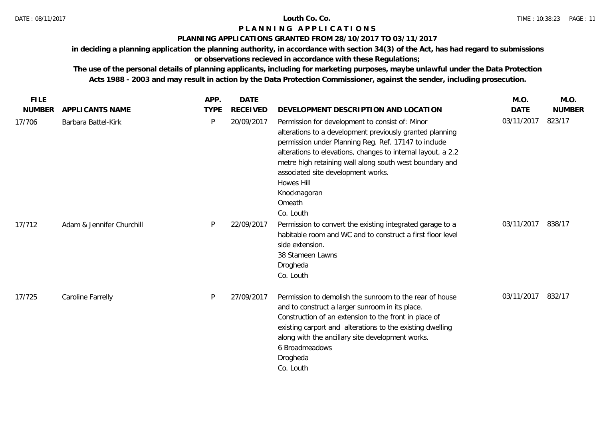## **PLANNING APPLICATIONS GRANTED FROM 28/10/2017 TO 03/11/2017**

**in deciding a planning application the planning authority, in accordance with section 34(3) of the Act, has had regard to submissions** 

# **or observations recieved in accordance with these Regulations;**

| <b>FILE</b>   |                           | APP.        | <b>DATE</b>     |                                                                                                                                                                                                                                                                                                                                                                                           | M.O.        | M.O.          |
|---------------|---------------------------|-------------|-----------------|-------------------------------------------------------------------------------------------------------------------------------------------------------------------------------------------------------------------------------------------------------------------------------------------------------------------------------------------------------------------------------------------|-------------|---------------|
| <b>NUMBER</b> | <b>APPLICANTS NAME</b>    | <b>TYPE</b> | <b>RECEIVED</b> | DEVELOPMENT DESCRIPTION AND LOCATION                                                                                                                                                                                                                                                                                                                                                      | <b>DATE</b> | <b>NUMBER</b> |
| 17/706        | Barbara Battel-Kirk       | P           | 20/09/2017      | Permission for development to consist of: Minor<br>alterations to a development previously granted planning<br>permission under Planning Reg. Ref. 17147 to include<br>alterations to elevations, changes to internal layout, a 2.2<br>metre high retaining wall along south west boundary and<br>associated site development works.<br>Howes Hill<br>Knocknagoran<br>Omeath<br>Co. Louth | 03/11/2017  | 823/17        |
| 17/712        | Adam & Jennifer Churchill | P           | 22/09/2017      | Permission to convert the existing integrated garage to a<br>habitable room and WC and to construct a first floor level<br>side extension.<br>38 Stameen Lawns<br>Drogheda<br>Co. Louth                                                                                                                                                                                                   | 03/11/2017  | 838/17        |
| 17/725        | Caroline Farrelly         | P           | 27/09/2017      | Permission to demolish the sunroom to the rear of house<br>and to construct a larger sunroom in its place.<br>Construction of an extension to the front in place of<br>existing carport and alterations to the existing dwelling<br>along with the ancillary site development works.<br>6 Broadmeadows<br>Drogheda<br>Co. Louth                                                           | 03/11/2017  | 832/17        |